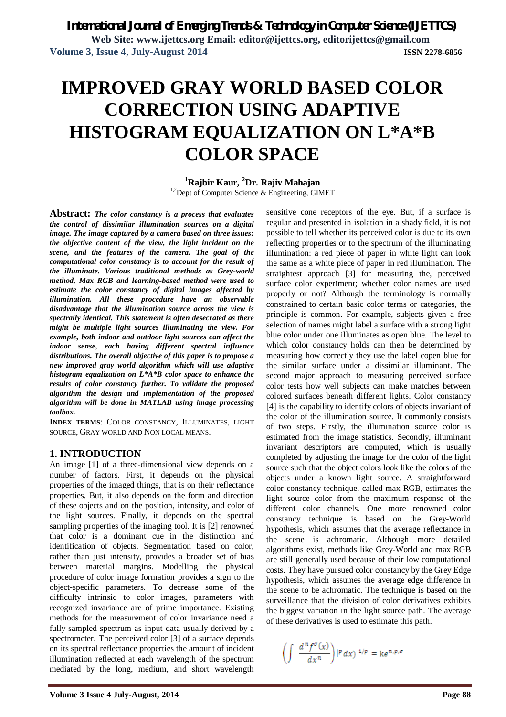# **IMPROVED GRAY WORLD BASED COLOR CORRECTION USING ADAPTIVE HISTOGRAM EQUALIZATION ON L\*A\*B COLOR SPACE**

### **<sup>1</sup>Rajbir Kaur, <sup>2</sup>Dr. Rajiv Mahajan**

 $1,2$ Dept of Computer Science & Engineering, GIMET

**Abstract:** *The color constancy is a process that evaluates the control of dissimilar illumination sources on a digital image. The image captured by a camera based on three issues: the objective content of the view, the light incident on the scene, and the features of the camera. The goal of the computational color constancy is to account for the result of the illuminate. Various traditional methods as Grey-world method, Max RGB and learning-based method were used to estimate the color constancy of digital images affected by illumination. All these procedure have an observable disadvantage that the illumination source across the view is spectrally identical. This statement is often desecrated as there might be multiple light sources illuminating the view. For example, both indoor and outdoor light sources can affect the indoor sense, each having different spectral influence distributions. The overall objective of this paper is to propose a new improved gray world algorithm which will use adaptive histogram equalization on L\*A\*B color space to enhance the results of color constancy further. To validate the proposed algorithm the design and implementation of the proposed algorithm will be done in MATLAB using image processing toolbox.*

**INDEX TERMS**: COLOR CONSTANCY, ILLUMINATES, LIGHT SOURCE, GRAY WORLD AND NON LOCAL MEANS.

### **1. INTRODUCTION**

An image [1] of a three-dimensional view depends on a number of factors. First, it depends on the physical properties of the imaged things, that is on their reflectance properties. But, it also depends on the form and direction of these objects and on the position, intensity, and color of the light sources. Finally, it depends on the spectral sampling properties of the imaging tool. It is [2] renowned that color is a dominant cue in the distinction and identification of objects. Segmentation based on color, rather than just intensity, provides a broader set of bias between material margins. Modelling the physical procedure of color image formation provides a sign to the object-specific parameters. To decrease some of the difficulty intrinsic to color images, parameters with recognized invariance are of prime importance. Existing methods for the measurement of color invariance need a fully sampled spectrum as input data usually derived by a spectrometer. The perceived color [3] of a surface depends on its spectral reflectance properties the amount of incident illumination reflected at each wavelength of the spectrum mediated by the long, medium, and short wavelength

sensitive cone receptors of the eye. But, if a surface is regular and presented in isolation in a shady field, it is not possible to tell whether its perceived color is due to its own reflecting properties or to the spectrum of the illuminating illumination: a red piece of paper in white light can look the same as a white piece of paper in red illumination. The straightest approach [3] for measuring the, perceived surface color experiment; whether color names are used properly or not? Although the terminology is normally constrained to certain basic color terms or categories, the principle is common. For example, subjects given a free selection of names might label a surface with a strong light blue color under one illuminates as open blue. The level to which color constancy holds can then be determined by measuring how correctly they use the label copen blue for the similar surface under a dissimilar illuminant. The second major approach to measuring perceived surface color tests how well subjects can make matches between colored surfaces beneath different lights. Color constancy [4] is the capability to identify colors of objects invariant of the color of the illumination source. It commonly consists of two steps. Firstly, the illumination source color is estimated from the image statistics. Secondly, illuminant invariant descriptors are computed, which is usually completed by adjusting the image for the color of the light source such that the object colors look like the colors of the objects under a known light source. A straightforward color constancy technique, called max-RGB, estimates the light source color from the maximum response of the different color channels. One more renowned color constancy technique is based on the Grey-World hypothesis, which assumes that the average reflectance in the scene is achromatic. Although more detailed algorithms exist, methods like Grey-World and max RGB are still generally used because of their low computational costs. They have pursued color constancy by the Grey Edge hypothesis, which assumes the average edge difference in the scene to be achromatic. The technique is based on the surveillance that the division of color derivatives exhibits the biggest variation in the light source path. The average of these derivatives is used to estimate this path.

$$
\left(\int \frac{d^n f^{\sigma}(x)}{dx^n}\right)|^p dx)^{1/p} = \mathrm{Re}^{n,p,\sigma}
$$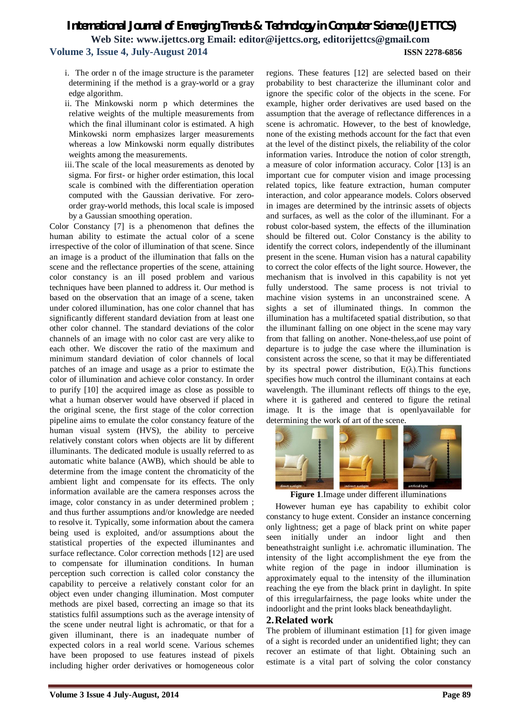- i. The order n of the image structure is the parameter determining if the method is a gray-world or a gray edge algorithm.
- ii. The Minkowski norm p which determines the relative weights of the multiple measurements from which the final illuminant color is estimated. A high Minkowski norm emphasizes larger measurements whereas a low Minkowski norm equally distributes weights among the measurements.
- iii.The scale of the local measurements as denoted by sigma. For first- or higher order estimation, this local scale is combined with the differentiation operation computed with the Gaussian derivative. For zeroorder gray-world methods, this local scale is imposed by a Gaussian smoothing operation.

Color Constancy [7] is a phenomenon that defines the human ability to estimate the actual color of a scene irrespective of the color of illumination of that scene. Since an image is a product of the illumination that falls on the scene and the reflectance properties of the scene, attaining color constancy is an ill posed problem and various techniques have been planned to address it. Our method is based on the observation that an image of a scene, taken under colored illumination, has one color channel that has significantly different standard deviation from at least one other color channel. The standard deviations of the color channels of an image with no color cast are very alike to each other. We discover the ratio of the maximum and minimum standard deviation of color channels of local patches of an image and usage as a prior to estimate the color of illumination and achieve color constancy. In order to purify [10] the acquired image as close as possible to what a human observer would have observed if placed in the original scene, the first stage of the color correction pipeline aims to emulate the color constancy feature of the human visual system (HVS), the ability to perceive relatively constant colors when objects are lit by different illuminants. The dedicated module is usually referred to as automatic white balance (AWB), which should be able to determine from the image content the chromaticity of the ambient light and compensate for its effects. The only information available are the camera responses across the image, color constancy in as under determined problem ; and thus further assumptions and/or knowledge are needed to resolve it. Typically, some information about the camera being used is exploited, and/or assumptions about the statistical properties of the expected illuminantes and surface reflectance. Color correction methods [12] are used to compensate for illumination conditions. In human perception such correction is called color constancy the capability to perceive a relatively constant color for an object even under changing illumination. Most computer methods are pixel based, correcting an image so that its statistics fulfil assumptions such as the average intensity of the scene under neutral light is achromatic, or that for a given illuminant, there is an inadequate number of expected colors in a real world scene. Various schemes have been proposed to use features instead of pixels including higher order derivatives or homogeneous color

regions. These features [12] are selected based on their probability to best characterize the illuminant color and ignore the specific color of the objects in the scene. For example, higher order derivatives are used based on the assumption that the average of reflectance differences in a scene is achromatic. However, to the best of knowledge, none of the existing methods account for the fact that even at the level of the distinct pixels, the reliability of the color information varies. Introduce the notion of color strength, a measure of color information accuracy. Color [13] is an important cue for computer vision and image processing related topics, like feature extraction, human computer interaction, and color appearance models. Colors observed in images are determined by the intrinsic assets of objects and surfaces, as well as the color of the illuminant. For a robust color-based system, the effects of the illumination should be filtered out. Color Constancy is the ability to identify the correct colors, independently of the illuminant present in the scene. Human vision has a natural capability to correct the color effects of the light source. However, the mechanism that is involved in this capability is not yet fully understood. The same process is not trivial to machine vision systems in an unconstrained scene. A sights a set of illuminated things. In common the illumination has a multifaceted spatial distribution, so that the illuminant falling on one object in the scene may vary from that falling on another. None-theless,aof use point of departure is to judge the case where the illumination is consistent across the scene, so that it may be differentiated by its spectral power distribution,  $E(\lambda)$ . This functions specifies how much control the illuminant contains at each wavelength. The illuminant reflects off things to the eye, where it is gathered and centered to figure the retinal image. It is the image that is openlyavailable for determining the work of art of the scene.



**Figure 1**.Image under different illuminations

However human eye has capability to exhibit color constancy to huge extent. Consider an instance concerning only lightness; get a page of black print on white paper seen initially under an indoor light and then beneathstraight sunlight i.e. achromatic illumination. The intensity of the light accomplishment the eye from the white region of the page in indoor illumination is approximately equal to the intensity of the illumination reaching the eye from the black print in daylight. In spite of this irregularfairness, the page looks white under the indoorlight and the print looks black beneathdaylight.

### **2.Related work**

The problem of illuminant estimation [1] for given image of a sight is recorded under an unidentified light; they can recover an estimate of that light. Obtaining such an estimate is a vital part of solving the color constancy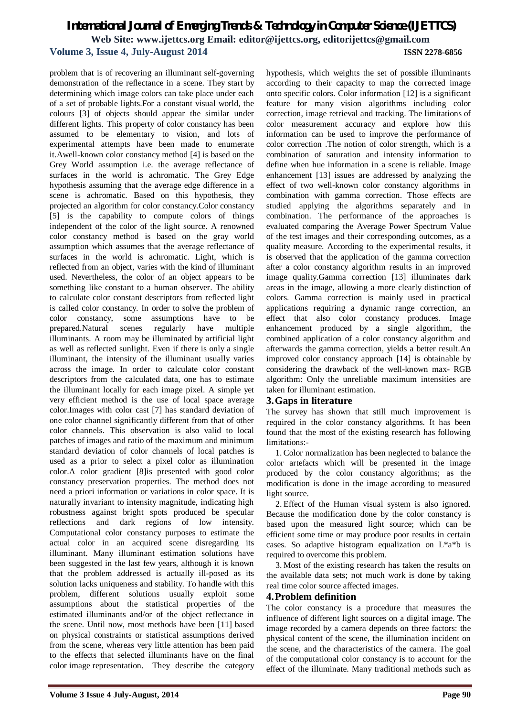problem that is of recovering an illuminant self-governing demonstration of the reflectance in a scene. They start by determining which image colors can take place under each of a set of probable lights.For a constant visual world, the colours [3] of objects should appear the similar under different lights. This property of color constancy has been assumed to be elementary to vision, and lots of experimental attempts have been made to enumerate it.Awell-known color constancy method [4] is based on the Grey World assumption i.e. the average reflectance of surfaces in the world is achromatic. The Grey Edge hypothesis assuming that the average edge difference in a scene is achromatic. Based on this hypothesis, they projected an algorithm for color constancy.Color constancy [5] is the capability to compute colors of things independent of the color of the light source. A renowned color constancy method is based on the gray world assumption which assumes that the average reflectance of surfaces in the world is achromatic. Light, which is reflected from an object, varies with the kind of illuminant used. Nevertheless, the color of an object appears to be something like constant to a human observer. The ability to calculate color constant descriptors from reflected light is called color constancy. In order to solve the problem of color constancy, some assumptions have to be prepared.Natural scenes regularly have multiple illuminants. A room may be illuminated by artificial light as well as reflected sunlight. Even if there is only a single illuminant, the intensity of the illuminant usually varies across the image. In order to calculate color constant descriptors from the calculated data, one has to estimate the illuminant locally for each image pixel. A simple yet very efficient method is the use of local space average color.Images with color cast [7] has standard deviation of one color channel significantly different from that of other color channels. This observation is also valid to local patches of images and ratio of the maximum and minimum standard deviation of color channels of local patches is used as a prior to select a pixel color as illumination color.A color gradient [8]is presented with good color constancy preservation properties. The method does not need a priori information or variations in color space. It is naturally invariant to intensity magnitude, indicating high robustness against bright spots produced be specular reflections and dark regions of low intensity. Computational color constancy purposes to estimate the actual color in an acquired scene disregarding its illuminant. Many illuminant estimation solutions have been suggested in the last few years, although it is known that the problem addressed is actually ill-posed as its solution lacks uniqueness and stability. To handle with this problem, different solutions usually exploit some assumptions about the statistical properties of the estimated illuminants and/or of the object reflectance in the scene. Until now, most methods have been [11] based on physical constraints or statistical assumptions derived from the scene, whereas very little attention has been paid to the effects that selected illuminants have on the final color image representation. They describe the category

hypothesis, which weights the set of possible illuminants according to their capacity to map the corrected image onto specific colors. Color information [12] is a significant feature for many vision algorithms including color correction, image retrieval and tracking. The limitations of color measurement accuracy and explore how this information can be used to improve the performance of color correction .The notion of color strength, which is a combination of saturation and intensity information to define when hue information in a scene is reliable. Image enhancement [13] issues are addressed by analyzing the effect of two well-known color constancy algorithms in combination with gamma correction. Those effects are studied applying the algorithms separately and in combination. The performance of the approaches is evaluated comparing the Average Power Spectrum Value of the test images and their corresponding outcomes, as a quality measure. According to the experimental results, it is observed that the application of the gamma correction after a color constancy algorithm results in an improved image quality.Gamma correction [13] illuminates dark areas in the image, allowing a more clearly distinction of colors. Gamma correction is mainly used in practical applications requiring a dynamic range correction, an effect that also color constancy produces. Image enhancement produced by a single algorithm, the combined application of a color constancy algorithm and afterwards the gamma correction, yields a better result.An improved color constancy approach [14] is obtainable by considering the drawback of the well-known max- RGB algorithm: Only the unreliable maximum intensities are taken for illuminant estimation.

### **3.Gaps in literature**

The survey has shown that still much improvement is required in the color constancy algorithms. It has been found that the most of the existing research has following limitations:-

1. Color normalization has been neglected to balance the color artefacts which will be presented in the image produced by the color constancy algorithms; as the modification is done in the image according to measured light source.

2. Effect of the Human visual system is also ignored. Because the modification done by the color constancy is based upon the measured light source; which can be efficient some time or may produce poor results in certain cases. So adaptive histogram equalization on L\*a\*b is required to overcome this problem.

3. Most of the existing research has taken the results on the available data sets; not much work is done by taking real time color source affected images.

### **4.Problem definition**

The color constancy is a procedure that measures the influence of different light sources on a digital image. The image recorded by a camera depends on three factors: the physical content of the scene, the illumination incident on the scene, and the characteristics of the camera. The goal of the computational color constancy is to account for the effect of the illuminate. Many traditional methods such as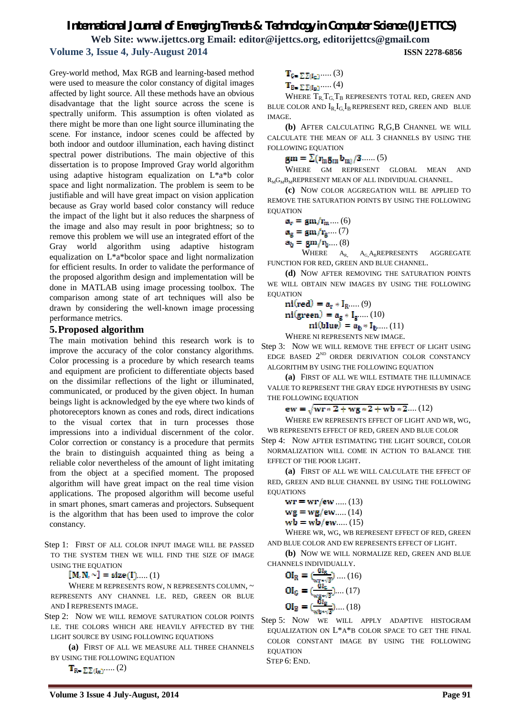### *International Journal of Emerging Trends & Technology in Computer Science (IJETTCS)* **Web Site: www.ijettcs.org Email: editor@ijettcs.org, editorijettcs@gmail.com**

**Volume 3, Issue 4, July-August 2014 ISSN 2278-6856**

Grey-world method, Max RGB and learning-based method were used to measure the color constancy of digital images affected by light source. All these methods have an obvious disadvantage that the light source across the scene is spectrally uniform. This assumption is often violated as there might be more than one light source illuminating the scene. For instance, indoor scenes could be affected by both indoor and outdoor illumination, each having distinct spectral power distributions. The main objective of this dissertation is to propose Improved Gray world algorithm using adaptive histogram equalization on L\*a\*b color space and light normalization. The problem is seem to be justifiable and will have great impact on vision application because as Gray world based color constancy will reduce the impact of the light but it also reduces the sharpness of the image and also may result in poor brightness; so to remove this problem we will use an integrated effort of the Gray world algorithm using adaptive histogram equalization on L\*a\*bcolor space and light normalization for efficient results. In order to validate the performance of the proposed algorithm design and implementation will be done in MATLAB using image processing toolbox. The comparison among state of art techniques will also be drawn by considering the well-known image processing performance metrics.

#### **5.Proposed algorithm**

The main motivation behind this research work is to improve the accuracy of the color constancy algorithms. Color processing is a procedure by which research teams and equipment are proficient to differentiate objects based on the dissimilar reflections of the light or illuminated, communicated, or produced by the given object. In human beings light is acknowledged by the eye where two kinds of photoreceptors known as cones and rods, direct indications to the visual cortex that in turn processes those impressions into a individual discernment of the color. Color correction or constancy is a procedure that permits the brain to distinguish acquainted thing as being a reliable color nevertheless of the amount of light imitating from the object at a specified moment. The proposed algorithm will have great impact on the real time vision applications. The proposed algorithm will become useful in smart phones, smart cameras and projectors. Subsequent is the algorithm that has been used to improve the color constancy.

Step 1: FIRST OF ALL COLOR INPUT IMAGE WILL BE PASSED TO THE SYSTEM THEN WE WILL FIND THE SIZE OF IMAGE USING THE EQUATION

 $[M, N, \sim] = size(I)$ ..... (1)

WHERE M REPRESENTS ROW, N REPRESENTS COLUMN,  $\sim$ REPRESENTS ANY CHANNEL I.E. RED, GREEN OR BLUE AND I REPRESENTS IMAGE.

Step 2: NOW WE WILL REMOVE SATURATION COLOR POINTS I.E. THE COLORS WHICH ARE HEAVILY AFFECTED BY THE LIGHT SOURCE BY USING FOLLOWING EQUATIONS

**(a)** FIRST OF ALL WE MEASURE ALL THREE CHANNELS BY USING THE FOLLOWING EQUATION

 $\mathbf{T}_{\mathbb{R}=\sum \sum (\mathbf{I}_{\mathbb{R}}) \cdots \cdots}$  (2)

$$
\Gamma_{\mathbf{G} = \sum \sum_{i=1}^{n} (L_i, \dots, (3))}
$$

$$
\mathbf{T}_{G=\sum \sum (I_{E})} \cdots (3)
$$
  

$$
\mathbf{T}_{B=\sum \sum (I_{E})} \cdots (4)
$$

WHERE  $T_{R, T_{G}}$ , $T_{B}$  represents total red, green and BLUE COLOR AND  $I_R$ , $I_G$ , $I_B$  REPRESENT RED, GREEN AND BLUE IMAGE.

**(b)** AFTER CALCULATING R,G,B CHANNEL WE WILL CALCULATE THE MEAN OF ALL 3 CHANNELS BY USING THE FOLLOWING EQUATION

 $\mathbf{gm} = \sum (\mathbf{r}_{\text{m}} \mathbf{g}_{\text{m}} \mathbf{b}_{\text{m}} / 3 \dots (5)$ 

WHERE GM REPRESENT GLOBAL MEAN AND  $R_{\rm M}G_{\rm M}B_{\rm M}$ REPRESENT MEAN OF ALL INDIVIDUAL CHANNEL.

**(c)** NOW COLOR AGGREGATION WILL BE APPLIED TO REMOVE THE SATURATION POINTS BY USING THE FOLLOWING EQUATION

$$
a_{r} = gm/r_{m} \dots (6)
$$
  
\n
$$
a_{g} = gm/r_{g} \dots (7)
$$
  
\n
$$
a_{b} = gm/r_{b} \dots (8)
$$

WHERE  $A_R$ ,  $A_G A_B$ REPRESENTS AGGREGATE FUNCTION FOR RED, GREEN AND BLUE CHANNEL.

**(d)** NOW AFTER REMOVING THE SATURATION POINTS WE WILL OBTAIN NEW IMAGES BY USING THE FOLLOWING EQUATION

$$
\mathbf{nl}(\mathbf{red}) = \mathbf{a}_{\mathbf{r}} * \mathbf{I}_{\mathbf{R}}.....(9)
$$
  
\n
$$
\mathbf{nl}(\mathbf{green}) = \mathbf{a}_{\mathbf{g}} * \mathbf{I}_{\mathbf{g}}.....(10)
$$
  
\n
$$
\mathbf{nl}(\mathbf{blue}) = \mathbf{a}_{\mathbf{b}} * \mathbf{I}_{\mathbf{b}}.....(11)
$$

WHERE NI REPRESENTS NEW IMAGE.

Step 3: NOW WE WILL REMOVE THE EFFECT OF LIGHT USING EDGE BASED  $2^{ND}$  ORDER DERIVATION COLOR CONSTANCY ALGORITHM BY USING THE FOLLOWING EQUATION

**(a)** FIRST OF ALL WE WILL ESTIMATE THE ILLUMINACE VALUE TO REPRESENT THE GRAY EDGE HYPOTHESIS BY USING THE FOLLOWING EQUATION

 $ew = \sqrt{wr * 2 + wg * 2 + wb * 2}$ .... (12)

WHERE EW REPRESENTS EFFECT OF LIGHT AND WR, WG, WB REPRESENTS EFFECT OF RED, GREEN AND BLUE COLOR

Step 4: NOW AFTER ESTIMATING THE LIGHT SOURCE, COLOR NORMALIZATION WILL COME IN ACTION TO BALANCE THE EFFECT OF THE POOR LIGHT.

**(a)** FIRST OF ALL WE WILL CALCULATE THE EFFECT OF RED, GREEN AND BLUE CHANNEL BY USING THE FOLLOWING **EQUATIONS** 

 $wr = wr/ew$  ..... (13)  $wg = wg/ew....(14)$  $wb = wb/ew....(15)$ 

WHERE WR, WG, WB REPRESENT EFFECT OF RED, GREEN AND BLUE COLOR AND EW REPRESENTS EFFECT OF LIGHT.

**(b)** NOW WE WILL NORMALIZE RED, GREEN AND BLUE CHANNELS INDIVIDUALLY.

$$
\mathbf{OI}_{R} = \left(\frac{\mathbf{OI}_{R}}{\mathbf{wr}_{1} \cdot \sqrt{3}}\right) \dots (16)
$$

$$
\mathbf{OI}_{C} = \left(\frac{\mathbf{OI}_{C}}{\mathbf{wg}_{1} \cdot \sqrt{3}}\right) \dots (17)
$$

$$
\mathbf{OI}_{B} = \left(\frac{\mathbf{OI}_{B}}{\mathbf{wt}_{B} \cdot \sqrt{3}}\right) \dots (18)
$$

Step 5: NOW WE WILL APPLY ADAPTIVE HISTOGRAM EQUALIZATION ON L\*A\*B COLOR SPACE TO GET THE FINAL COLOR CONSTANT IMAGE BY USING THE FOLLOWING EQUATION

STEP 6: END.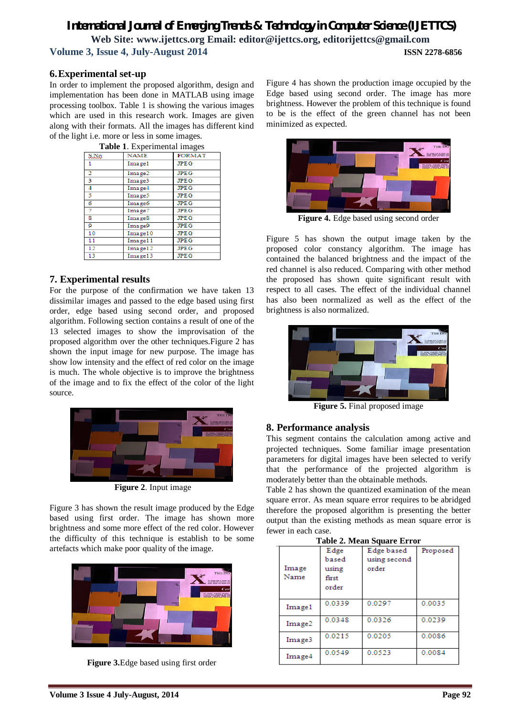### **6.Experimental set-up**

In order to implement the proposed algorithm, design and implementation has been done in MATLAB using image processing toolbox. Table 1 is showing the various images which are used in this research work. Images are given along with their formats. All the images has different kind of the light i.e. more or less in some images.

| <b>Table 1.</b> Experimental images |                    |               |  |  |
|-------------------------------------|--------------------|---------------|--|--|
| S.Ng                                | <b>NAME</b>        | <b>FORMAT</b> |  |  |
| 1                                   | Image1             | <b>JPEG</b>   |  |  |
| 2                                   | Image2             | <b>JPEG</b>   |  |  |
| 3                                   | Image3             | <b>JPEG</b>   |  |  |
| 4                                   | Image4             | <b>JPEG</b>   |  |  |
| 5                                   | Image5             | <b>JPEG</b>   |  |  |
| 6                                   | Image6             | <b>JPEG</b>   |  |  |
| 7                                   | Image7             | <b>JPEG</b>   |  |  |
| s                                   | Image <sub>8</sub> | <b>JPEG</b>   |  |  |
| 9                                   | Image9             | <b>JPEG</b>   |  |  |
| 10                                  | Image10            | <b>JPEG</b>   |  |  |
| 11                                  | Image11            | <b>JPEG</b>   |  |  |
| 12                                  | Image12            | <b>JPEG</b>   |  |  |
| 13                                  | Image13            | <b>JPEG</b>   |  |  |

### **7. Experimental results**

For the purpose of the confirmation we have taken 13 dissimilar images and passed to the edge based using first order, edge based using second order, and proposed algorithm. Following section contains a result of one of the 13 selected images to show the improvisation of the proposed algorithm over the other techniques.Figure 2 has shown the input image for new purpose. The image has show low intensity and the effect of red color on the image is much. The whole objective is to improve the brightness of the image and to fix the effect of the color of the light source.



**Figure 2**. Input image

Figure 3 has shown the result image produced by the Edge based using first order. The image has shown more brightness and some more effect of the red color. However the difficulty of this technique is establish to be some artefacts which make poor quality of the image.



**Figure 3.**Edge based using first order

Figure 4 has shown the production image occupied by the Edge based using second order. The image has more brightness. However the problem of this technique is found to be is the effect of the green channel has not been minimized as expected.



**Figure 4.** Edge based using second order

Figure 5 has shown the output image taken by the proposed color constancy algorithm. The image has contained the balanced brightness and the impact of the red channel is also reduced. Comparing with other method the proposed has shown quite significant result with respect to all cases. The effect of the individual channel has also been normalized as well as the effect of the brightness is also normalized.



**Figure 5.** Final proposed image

### **8. Performance analysis**

This segment contains the calculation among active and projected techniques. Some familiar image presentation parameters for digital images have been selected to verify that the performance of the projected algorithm is moderately better than the obtainable methods.

Table 2 has shown the quantized examination of the mean square error. As mean square error requires to be abridged therefore the proposed algorithm is presenting the better output than the existing methods as mean square error is fewer in each case.

| 1 aprè 2, rican pquare Error |                                          |                                     |          |  |  |
|------------------------------|------------------------------------------|-------------------------------------|----------|--|--|
| Image<br>Name                | Edge<br>based<br>using<br>first<br>order | Edge based<br>using second<br>order | Proposed |  |  |
| Image1                       | 0.0339                                   | 0.0297                              | 0.0035   |  |  |
| Image2                       | 0.0348                                   | 0.0326                              | 0.0239   |  |  |
| Image3                       | 0.0215                                   | 0.0205                              | 0.0086   |  |  |
| Image4                       | 0.0549                                   | 0.0523                              | 0.0084   |  |  |

**Table 2. Mean Square Error**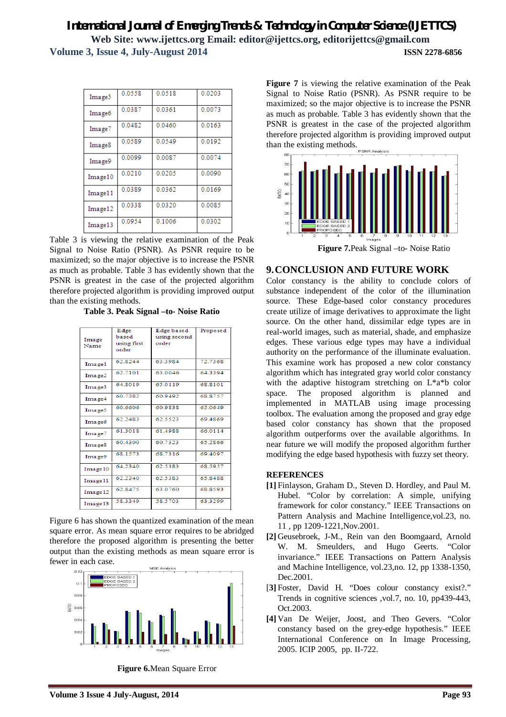| Image5             | 0.0558 | 0.0518 | 0.0203 |
|--------------------|--------|--------|--------|
| Image6             | 0.0387 | 0.0361 | 0.0073 |
| Image7             | 0.0482 | 0.0460 | 0.0163 |
| Image <sub>8</sub> | 0.0589 | 0.0549 | 0.0192 |
| Image9             | 0.0099 | 0.0087 | 0.0074 |
| Image10            | 0.0210 | 0.0205 | 0.0090 |
| Image11            | 0.0389 | 0.0362 | 0.0169 |
| Image12            | 0.0338 | 0.0320 | 0.0085 |
| Image13            | 0.0954 | 0.1006 | 0.0302 |

Table 3 is viewing the relative examination of the Peak Signal to Noise Ratio (PSNR). As PSNR require to be maximized; so the major objective is to increase the PSNR as much as probable. Table 3 has evidently shown that the PSNR is greatest in the case of the projected algorithm therefore projected algorithm is providing improved output than the existing methods.

#### **Table 3. Peak Signal –to- Noise Ratio**

| Edge<br>based<br>using first<br>order | Edge based<br>using second<br>order | Proposed |
|---------------------------------------|-------------------------------------|----------|
|                                       |                                     | 72.7368  |
| 62.7101                               | 63.0046                             | 64.3394  |
| 64.8019                               | 65.0119                             | 68.8101  |
| 60.7382                               | 60 9492                             | 68.8757  |
| 60.6606                               | 60.9838                             | 65.0649  |
| 62.2483                               | 62.5523                             | 69.4869  |
| 61.3018                               | 61.4988                             | 66.0114  |
| 60.4300                               | 60.7323                             | 65.2866  |
| 68.1573                               | 68.7316                             | 69.4097  |
| 64.2340                               | 62.5383                             | 68.5957  |
| 62.2340                               | 62.5383                             | 65.8488  |
| 62.8475                               | 63.0760                             | 68.8593  |
| 58.3349                               | 58.5703                             | 63.3299  |
|                                       | 62.8244                             | 63.3984  |

Figure 6 has shown the quantized examination of the mean square error. As mean square error requires to be abridged therefore the proposed algorithm is presenting the better output than the existing methods as mean square error is fewer in each case.



**Figure 6.**Mean Square Error

**Figure 7** is viewing the relative examination of the Peak Signal to Noise Ratio (PSNR). As PSNR require to be maximized; so the major objective is to increase the PSNR as much as probable. Table 3 has evidently shown that the PSNR is greatest in the case of the projected algorithm therefore projected algorithm is providing improved output than the existing methods.



#### **9.CONCLUSION AND FUTURE WORK**

Color constancy is the ability to conclude colors of substance independent of the color of the illumination source. These Edge-based color constancy procedures create utilize of image derivatives to approximate the light source. On the other hand, dissimilar edge types are in real-world images, such as material, shade, and emphasize edges. These various edge types may have a individual authority on the performance of the illuminate evaluation. This examine work has proposed a new color constancy algorithm which has integrated gray world color constancy with the adaptive histogram stretching on L\*a\*b color space. The proposed algorithm is planned and implemented in MATLAB using image processing toolbox. The evaluation among the proposed and gray edge based color constancy has shown that the proposed algorithm outperforms over the available algorithms. In near future we will modify the proposed algorithm further modifying the edge based hypothesis with fuzzy set theory.

#### **REFERENCES**

- **[1]** Finlayson, Graham D., Steven D. Hordley, and Paul M. Hubel. "Color by correlation: A simple, unifying framework for color constancy." IEEE Transactions on Pattern Analysis and Machine Intelligence,vol.23, no. 11 , pp 1209-1221,Nov.2001.
- **[2]** Geusebroek, J-M., Rein van den Boomgaard, Arnold W. M. Smeulders, and Hugo Geerts. "Color invariance." IEEE Transactions on Pattern Analysis and Machine Intelligence, vol.23,no. 12, pp 1338-1350, Dec.2001.
- [**3]** Foster, David H. "Does colour constancy exist?." Trends in cognitive sciences ,vol.7, no. 10, pp439-443, Oct.2003.
- **[4]** Van De Weijer, Joost, and Theo Gevers. "Color constancy based on the grey-edge hypothesis." IEEE International Conference on In Image Processing, 2005. ICIP 2005, pp. II-722.